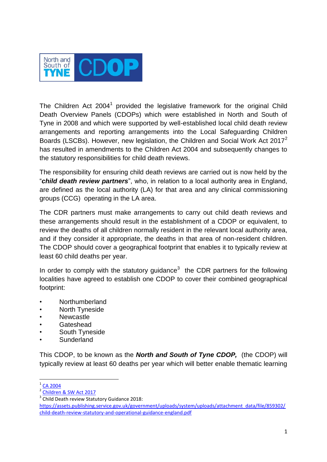

The Children Act 2004<sup>1</sup> provided the legislative framework for the original Child Death Overview Panels (CDOPs) which were established in North and South of Tyne in 2008 and which were supported by well-established local child death review arrangements and reporting arrangements into the Local Safeguarding Children Boards (LSCBs). However, new legislation, the Children and Social Work Act 2017<sup>2</sup> has resulted in amendments to the Children Act 2004 and subsequently changes to the statutory responsibilities for child death reviews.

The responsibility for ensuring child death reviews are carried out is now held by the "*child death review partners*", who, in relation to a local authority area in England, are defined as the local authority (LA) for that area and any clinical commissioning groups (CCG) operating in the LA area.

The CDR partners must make arrangements to carry out child death reviews and these arrangements should result in the establishment of a CDOP or equivalent, to review the deaths of all children normally resident in the relevant local authority area, and if they consider it appropriate, the deaths in that area of non-resident children. The CDOP should cover a geographical footprint that enables it to typically review at least 60 child deaths per year.

In order to comply with the statutory guidance<sup>3</sup> the CDR partners for the following localities have agreed to establish one CDOP to cover their combined geographical footprint:

- Northumberland
- **North Tyneside**
- **Newcastle**
- **Gateshead**
- South Tyneside
- **Sunderland**

This CDOP, to be known as the *North and South of Tyne CDOP,* (the CDOP) will typically review at least 60 deaths per year which will better enable thematic learning

 $\frac{1}{1}$ [CA 2004](https://www.legislation.gov.uk/ukpga/2004/31/contents)

<sup>&</sup>lt;sup>2</sup> [Children & SW Act 2017](http://www.legislation.gov.uk/ukpga/2017/16/contents/enacted)

<sup>&</sup>lt;sup>3</sup> Child Death review Statutory Guidance 2018:

[https://assets.publishing.service.gov.uk/government/uploads/system/uploads/attachment\\_data/file/859302/](https://assets.publishing.service.gov.uk/government/uploads/system/uploads/attachment_data/file/859302/child-death-review-statutory-and-operational-guidance-england.pdf) [child-death-review-statutory-and-operational-guidance-england.pdf](https://assets.publishing.service.gov.uk/government/uploads/system/uploads/attachment_data/file/859302/child-death-review-statutory-and-operational-guidance-england.pdf)